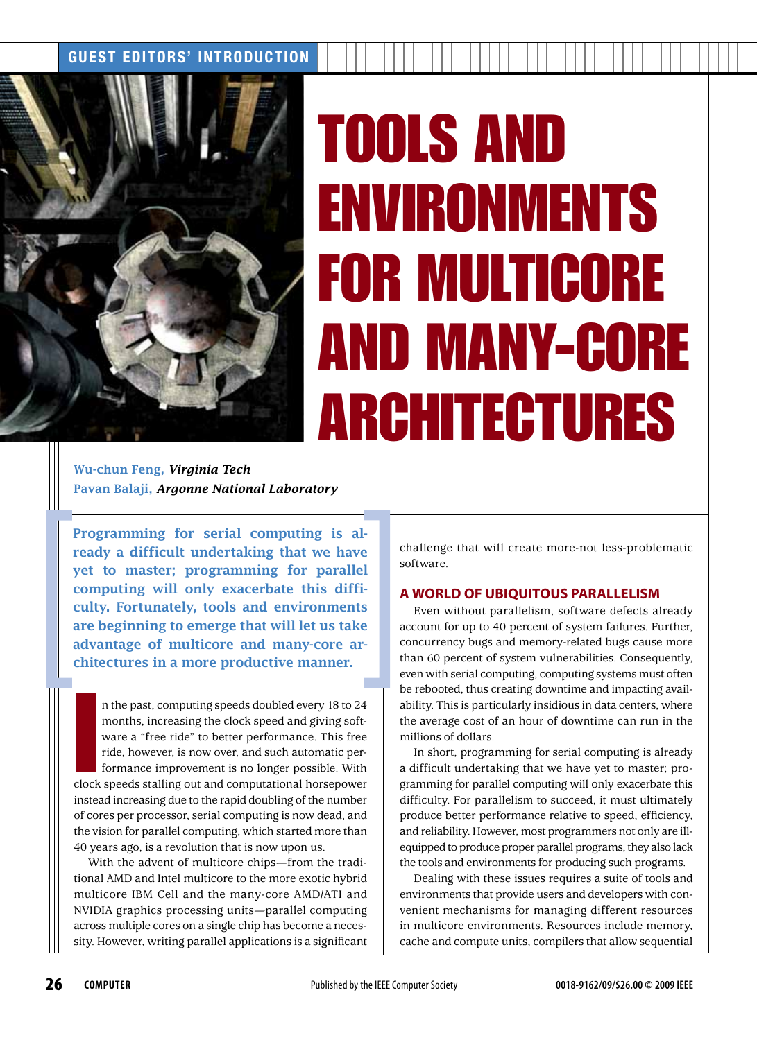## GUEST EDITORS' INTRODUCTION



## TOOLS AND ENVIRONMENTS FOR MULTICORE AND MANY-CORE ARCHITECTURES

Wu-chun Feng, *Virginia Tech* Pavan Balaji, *Argonne National Laboratory*

Programming for serial computing is already a difficult undertaking that we have yet to master; programming for parallel computing will only exacerbate this difficulty. Fortunately, tools and environments are beginning to emerge that will let us take advantage of multicore and many-core architectures in a more productive manner.

In the past, computing speeds doubled every 18 to 24<br>months, increasing the clock speed and giving soft-<br>ware a "free ride" to better performance. This free<br>ride, however, is now over, and such automatic per-<br>formance impr n the past, computing speeds doubled every 18 to 24 months, increasing the clock speed and giving software a "free ride" to better performance. This free ride, however, is now over, and such automatic performance improvement is no longer possible. With instead increasing due to the rapid doubling of the number of cores per processor, serial computing is now dead, and the vision for parallel computing, which started more than 40 years ago, is a revolution that is now upon us.

With the advent of multicore chips—from the traditional AMD and Intel multicore to the more exotic hybrid multicore IBM Cell and the many-core AMD/ATI and NVIDIA graphics processing units—parallel computing across multiple cores on a single chip has become a necessity. However, writing parallel applications is a significant challenge that will create more-not less-problematic software.

## **A WORLD OF UBIQUITOUS PARALLELISM**

Even without parallelism, software defects already account for up to 40 percent of system failures. Further, concurrency bugs and memory-related bugs cause more than 60 percent of system vulnerabilities. Consequently, even with serial computing, computing systems must often be rebooted, thus creating downtime and impacting availability. This is particularly insidious in data centers, where the average cost of an hour of downtime can run in the millions of dollars.

In short, programming for serial computing is already a difficult undertaking that we have yet to master; programming for parallel computing will only exacerbate this difficulty. For parallelism to succeed, it must ultimately produce better performance relative to speed, efficiency, and reliability. However, most programmers not only are illequipped to produce proper parallel programs, they also lack the tools and environments for producing such programs.

Dealing with these issues requires a suite of tools and environments that provide users and developers with convenient mechanisms for managing different resources in multicore environments. Resources include memory, cache and compute units, compilers that allow sequential